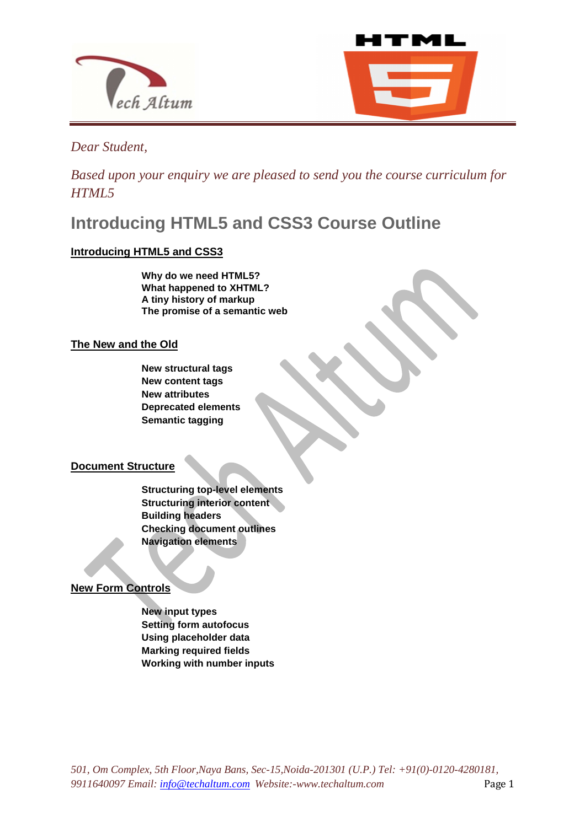



*Dear Student,* 

*Based upon your enquiry we are pleased to send you the course curriculum for HTML5*

**Introducing HTML5 and CSS3 Course Outline** 

# **Introducing HTML5 and CSS3**

**Why do we need HTML5? What happened to XHTML? A tiny history of markup The promise of a semantic web** 

l

# **The New and the Old**

**New structural tags New content tags New attributes Deprecated elements Semantic tagging**

# **Document Structure**

**Structuring top-level elements Structuring interior content Building headers Checking document outlines Navigation elements** 

**New Form Controls** 

**New input types Setting form autofocus Using placeholder data Marking required fields Working with number inputs**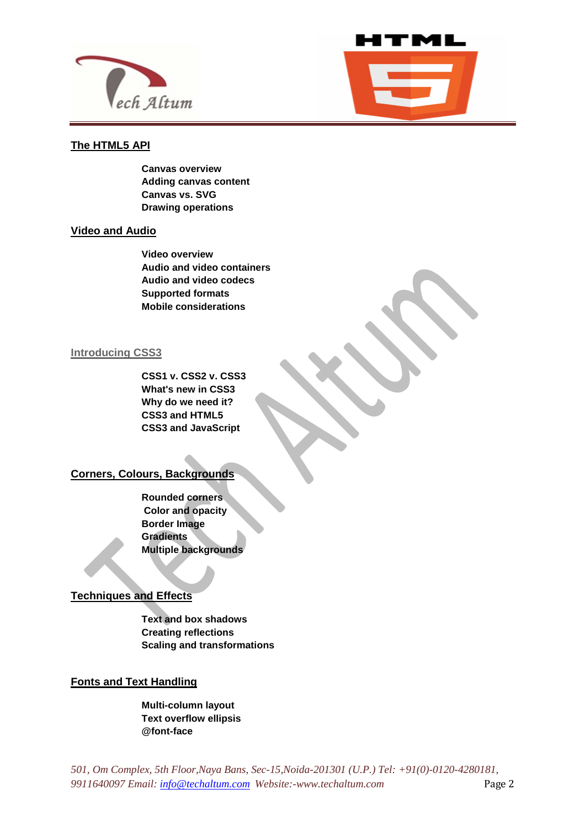



### **The HTML5 API**

**Canvas overview Adding canvas content Canvas vs. SVG Drawing operations** 

l

#### **Video and Audio**

**Video overview Audio and video containers Audio and video codecs Supported formats Mobile considerations**

#### **Introducing CSS3**

**CSS1 v. CSS2 v. CSS3 What's new in CSS3 Why do we need it? CSS3 and HTML5 CSS3 and JavaScript**

# **Corners, Colours, Backgrounds**

**Rounded corners Color and opacity Border Image Gradients Multiple backgrounds** 

# **Techniques and Effects**

**Text and box shadows Creating reflections Scaling and transformations**

# **Fonts and Text Handling**

**Multi-column layout Text overflow ellipsis @font-face**